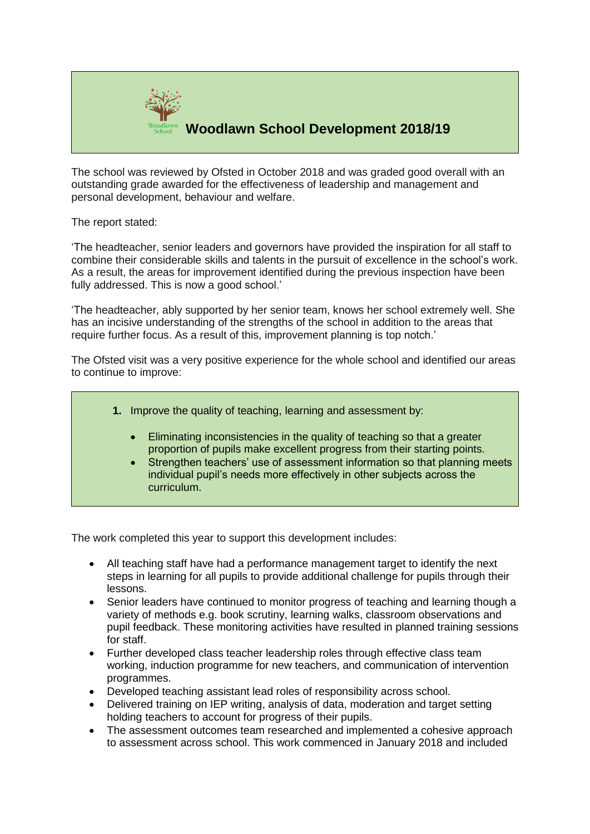

## **Woodlawn School Development 2018/19**

The school was reviewed by Ofsted in October 2018 and was graded good overall with an outstanding grade awarded for the effectiveness of leadership and management and personal development, behaviour and welfare.

The report stated:

'The headteacher, senior leaders and governors have provided the inspiration for all staff to combine their considerable skills and talents in the pursuit of excellence in the school's work. As a result, the areas for improvement identified during the previous inspection have been fully addressed. This is now a good school.'

'The headteacher, ably supported by her senior team, knows her school extremely well. She has an incisive understanding of the strengths of the school in addition to the areas that require further focus. As a result of this, improvement planning is top notch.'

The Ofsted visit was a very positive experience for the whole school and identified our areas to continue to improve:



- Eliminating inconsistencies in the quality of teaching so that a greater proportion of pupils make excellent progress from their starting points.
- Strengthen teachers' use of assessment information so that planning meets individual pupil's needs more effectively in other subjects across the curriculum.

The work completed this year to support this development includes:

- All teaching staff have had a performance management target to identify the next steps in learning for all pupils to provide additional challenge for pupils through their lessons.
- Senior leaders have continued to monitor progress of teaching and learning though a variety of methods e.g. book scrutiny, learning walks, classroom observations and pupil feedback. These monitoring activities have resulted in planned training sessions for staff.
- Further developed class teacher leadership roles through effective class team working, induction programme for new teachers, and communication of intervention programmes.
- Developed teaching assistant lead roles of responsibility across school.
- Delivered training on IEP writing, analysis of data, moderation and target setting holding teachers to account for progress of their pupils.
- The assessment outcomes team researched and implemented a cohesive approach to assessment across school. This work commenced in January 2018 and included